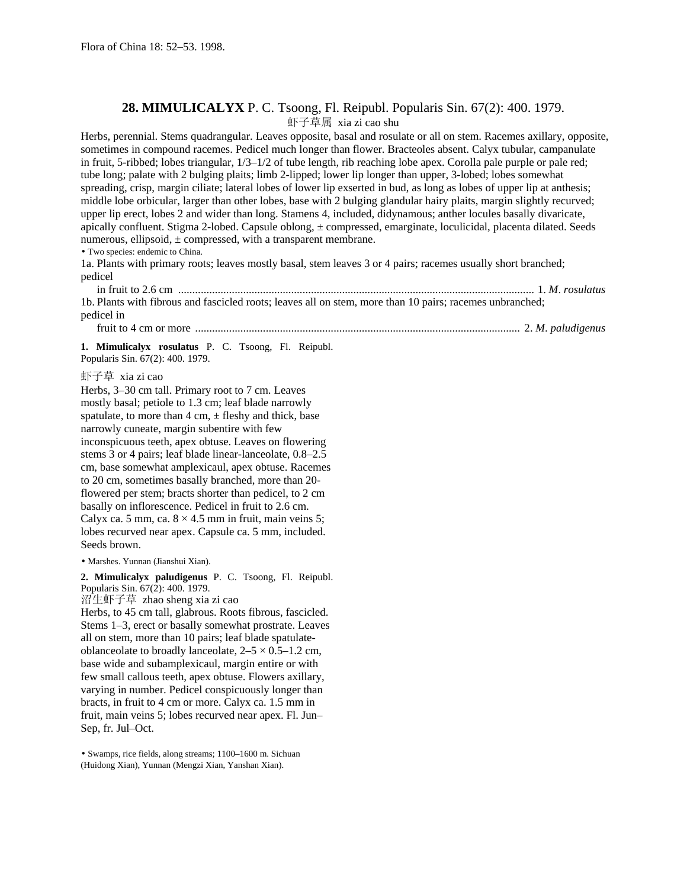## **28. MIMULICALYX** P. C. Tsoong, Fl. Reipubl. Popularis Sin. 67(2): 400. 1979. 虾子草属 xia zi cao shu

Herbs, perennial. Stems quadrangular. Leaves opposite, basal and rosulate or all on stem. Racemes axillary, opposite, sometimes in compound racemes. Pedicel much longer than flower. Bracteoles absent. Calyx tubular, campanulate in fruit, 5-ribbed; lobes triangular, 1/3–1/2 of tube length, rib reaching lobe apex. Corolla pale purple or pale red; tube long; palate with 2 bulging plaits; limb 2-lipped; lower lip longer than upper, 3-lobed; lobes somewhat spreading, crisp, margin ciliate; lateral lobes of lower lip exserted in bud, as long as lobes of upper lip at anthesis; middle lobe orbicular, larger than other lobes, base with 2 bulging glandular hairy plaits, margin slightly recurved; upper lip erect, lobes 2 and wider than long. Stamens 4, included, didynamous; anther locules basally divaricate, apically confluent. Stigma 2-lobed. Capsule oblong, ± compressed, emarginate, loculicidal, placenta dilated. Seeds numerous, ellipsoid,  $\pm$  compressed, with a transparent membrane.

• Two species: endemic to China.

1a. Plants with primary roots; leaves mostly basal, stem leaves 3 or 4 pairs; racemes usually short branched; pedicel

 in fruit to 2.6 cm .............................................................................................................................. 1. *M*. *rosulatus* 1b. Plants with fibrous and fascicled roots; leaves all on stem, more than 10 pairs; racemes unbranched; pedicel in

fruit to 4 cm or more ................................................................................................................... 2. *M*. *paludigenus*

**1. Mimulicalyx rosulatus** P. C. Tsoong, Fl. Reipubl. Popularis Sin. 67(2): 400. 1979.

虾子草 xia zi cao

Herbs, 3–30 cm tall. Primary root to 7 cm. Leaves mostly basal; petiole to 1.3 cm; leaf blade narrowly spatulate, to more than  $4 \text{ cm}, \pm \text{ fleshy}$  and thick, base narrowly cuneate, margin subentire with few inconspicuous teeth, apex obtuse. Leaves on flowering stems 3 or 4 pairs; leaf blade linear-lanceolate, 0.8–2.5 cm, base somewhat amplexicaul, apex obtuse. Racemes to 20 cm, sometimes basally branched, more than 20 flowered per stem; bracts shorter than pedicel, to 2 cm basally on inflorescence. Pedicel in fruit to 2.6 cm. Calyx ca. 5 mm, ca.  $8 \times 4.5$  mm in fruit, main veins 5; lobes recurved near apex. Capsule ca. 5 mm, included. Seeds brown.

• Marshes. Yunnan (Jianshui Xian).

**2. Mimulicalyx paludigenus** P. C. Tsoong, Fl. Reipubl. Popularis Sin. 67(2): 400. 1979. 沼生虾子草 zhao sheng xia zi cao

Herbs, to 45 cm tall, glabrous. Roots fibrous, fascicled. Stems 1–3, erect or basally somewhat prostrate. Leaves all on stem, more than 10 pairs; leaf blade spatulateoblanceolate to broadly lanceolate,  $2-5 \times 0.5-1.2$  cm, base wide and subamplexicaul, margin entire or with few small callous teeth, apex obtuse. Flowers axillary, varying in number. Pedicel conspicuously longer than bracts, in fruit to 4 cm or more. Calyx ca. 1.5 mm in fruit, main veins 5; lobes recurved near apex. Fl. Jun– Sep, fr. Jul–Oct.

• Swamps, rice fields, along streams; 1100–1600 m. Sichuan (Huidong Xian), Yunnan (Mengzi Xian, Yanshan Xian).